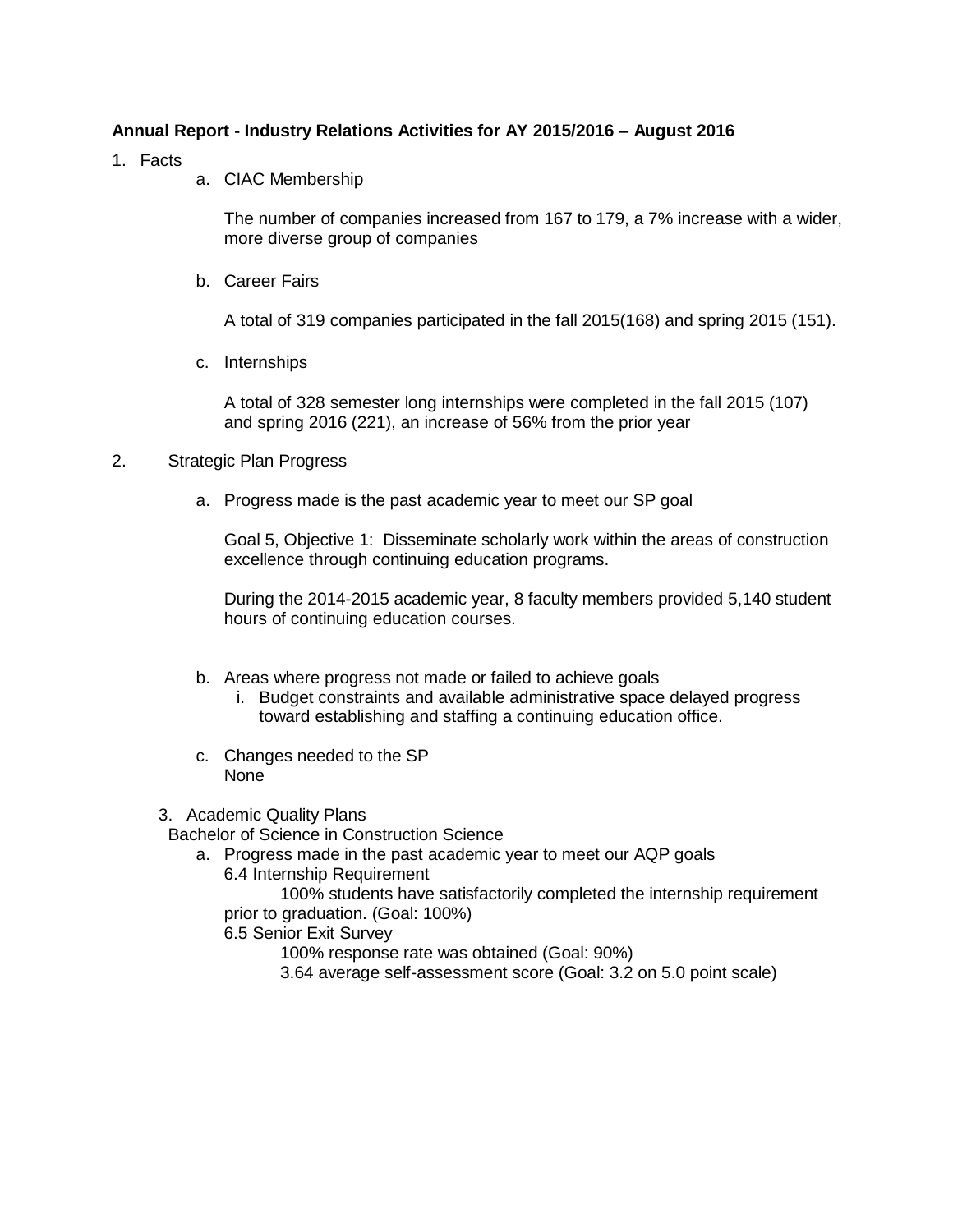## **Annual Report - Industry Relations Activities for AY 2015/2016 – August 2016**

- 1. Facts
- a. CIAC Membership

The number of companies increased from 167 to 179, a 7% increase with a wider, more diverse group of companies

b. Career Fairs

A total of 319 companies participated in the fall 2015(168) and spring 2015 (151).

c. Internships

A total of 328 semester long internships were completed in the fall 2015 (107) and spring 2016 (221), an increase of 56% from the prior year

## 2. Strategic Plan Progress

a. Progress made is the past academic year to meet our SP goal

Goal 5, Objective 1: Disseminate scholarly work within the areas of construction excellence through continuing education programs.

During the 2014-2015 academic year, 8 faculty members provided 5,140 student hours of continuing education courses.

- b. Areas where progress not made or failed to achieve goals
	- i. Budget constraints and available administrative space delayed progress toward establishing and staffing a continuing education office.
- c. Changes needed to the SP None
- 3. Academic Quality Plans

Bachelor of Science in Construction Science

- a. Progress made in the past academic year to meet our AQP goals
	- 6.4 Internship Requirement

100% students have satisfactorily completed the internship requirement prior to graduation. (Goal: 100%)

6.5 Senior Exit Survey

100% response rate was obtained (Goal: 90%)

3.64 average self-assessment score (Goal: 3.2 on 5.0 point scale)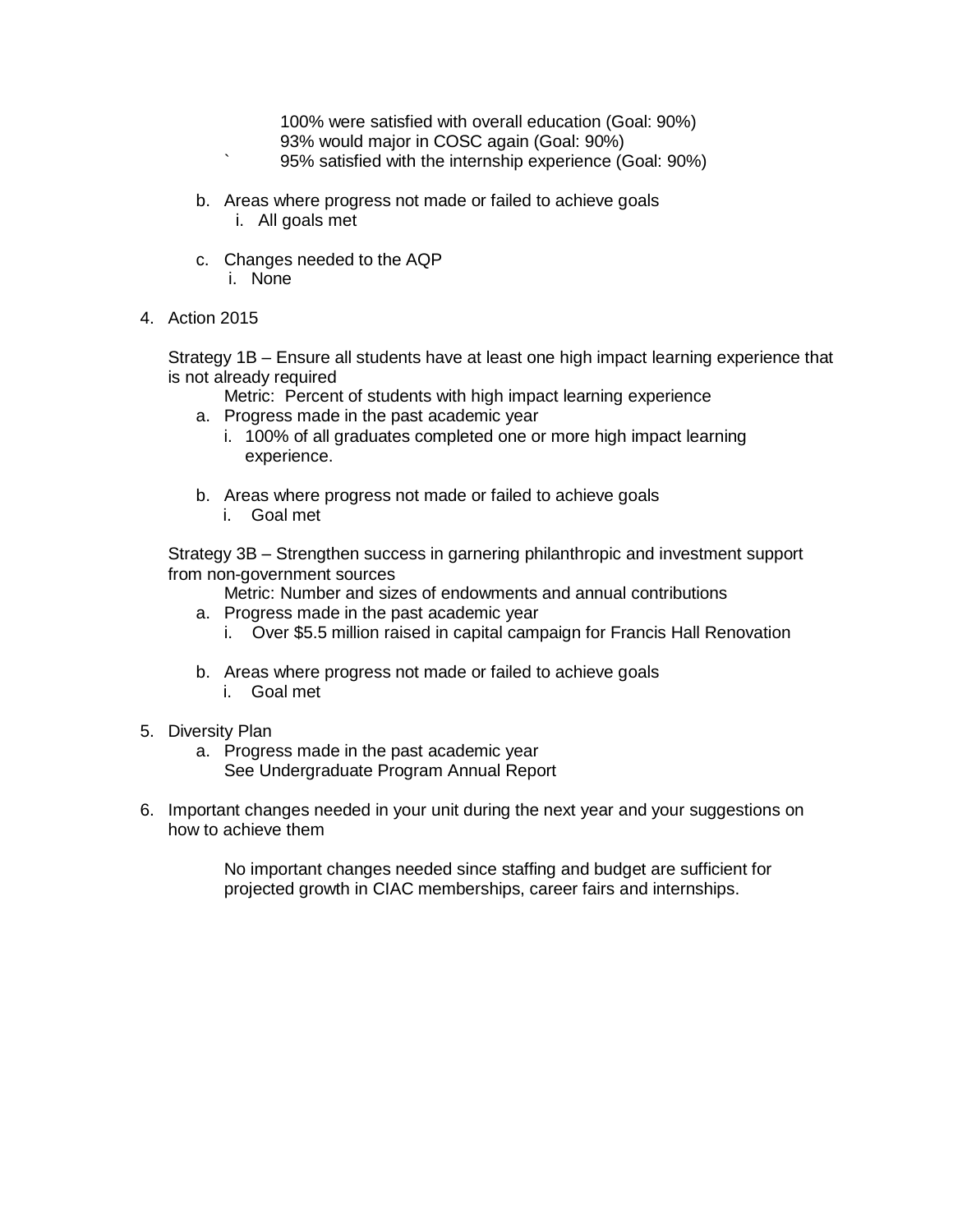100% were satisfied with overall education (Goal: 90%) 93% would major in COSC again (Goal: 90%) ` 95% satisfied with the internship experience (Goal: 90%)

- b. Areas where progress not made or failed to achieve goals i. All goals met
- c. Changes needed to the AQP i. None
- 4. Action 2015

Strategy 1B – Ensure all students have at least one high impact learning experience that is not already required

Metric: Percent of students with high impact learning experience

- a. Progress made in the past academic year
	- i. 100% of all graduates completed one or more high impact learning experience.
- b. Areas where progress not made or failed to achieve goals i. Goal met

Strategy 3B – Strengthen success in garnering philanthropic and investment support from non-government sources

Metric: Number and sizes of endowments and annual contributions

- a. Progress made in the past academic year
	- i. Over \$5.5 million raised in capital campaign for Francis Hall Renovation
- b. Areas where progress not made or failed to achieve goals i. Goal met
- 5. Diversity Plan
	- a. Progress made in the past academic year See Undergraduate Program Annual Report
- 6. Important changes needed in your unit during the next year and your suggestions on how to achieve them

No important changes needed since staffing and budget are sufficient for projected growth in CIAC memberships, career fairs and internships.